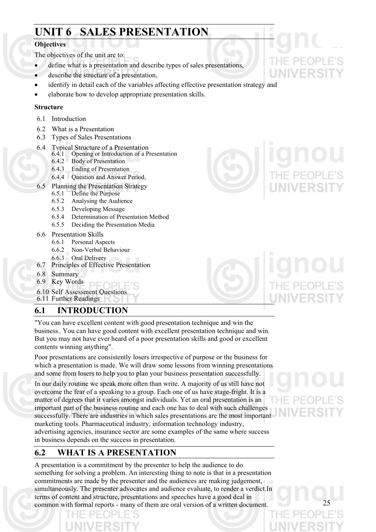# **UNIT 6 SALES PRESENTATION**

#### **Objectives**

The objectives of the unit are to:

- define what is a presentation and describe types of sales presentations,
- describe the structure of a presentation,
- identify in detail each of the variables affecting effective presentation strategy and
- elaborate how to develop appropriate presentation skills.

#### **Structure**

- 6.1 Introduction
- 6.2 What is a Presentation
- 6.3 Types of Sales Presentations
- 6.4 Typical Structure of a Presentation<br>6.4.1 Opening or Introduction of a P
	- 6.4.1 Opening or Introduction of a Presentation
	- 6.4.2 Body of Presentation
	- 6.4.3 Ending of Presentation
	- 6.4.4 Question and Answer Period,
	- 6.5 Planning the Presentation Strategy
		- 6.5.1 Define the Purpose
		- 6.5.2 Analysing the Audience
		- 6.5.3 Developing Message
		- 6.5.4 Determination of Presentation Method
		- 6.5.5 Deciding the Presentation Media
- 6.6 Presentation Skills
	- 6.6.1 Personal Aspects
	- 6.6.2 Non-Verbal Behaviour
	- 6.6.3 Oral Delivery
- 6.7 Principles of Effective Presentation
- 6.8 Summary
- 6.9 Key Words
- 6.10 Self Assessment Questions
- 6.11 Further Readings

# **6.1 INTRODUCTION**

"You can have excellent content with good presentation technique and win the business., You can have good content with excellent presentation technique and win. But you may not have ever heard of a poor presentation skills and good or excellent contents winning anything".

Poor presentations are consistently losers irrespective of purpose or the business for which a presentation is made. We will draw some lessons from winning presentations and some from losers to help you to plan your business presentation successfully.

In our daily routine we speak more often than write. A majority of us still have not overcome the fear of a speaking to a group. Each one of us have stage-fright. It is a matter of degrees that it varies amongst individuals. Yet an oral presentation is an important part of the business routine and each one has to deal with such challenges successfully. There are industries in which sales presentations are the most important marketing tools. Pharmaceutical industry, information technology industry, advertising agencies, insurance sector are some examples of the same where success in business depends on the success in presentation.

# **6.2 WHAT IS A PRESENTATION**

A presentation is a commitment by the presenter to help the audience to do something for solving a problem. An interesting thing to note is that in a presentation commitments are made by the presenter and the audiences are making judgement, simultaneously. The presenter advocates and audience evaluate, to render a verdict.In terms of content and structure, presentations and speeches have a good deal in common with formal reports - many of them are oral version of a written document.



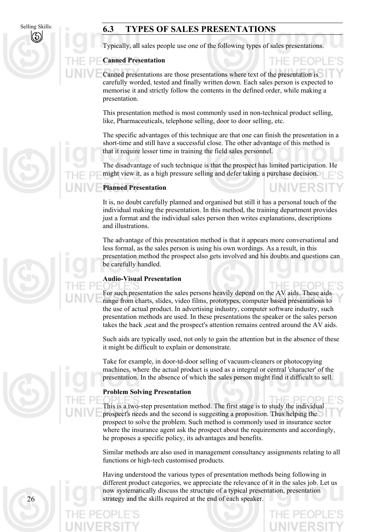# Selling Skills: **6.3 TYPES OF SALES PRESENTATIONS**

Typically, all sales people use one of the following types of sales presentations.

#### **Canned Presentation**

Canned presentations are those presentations where text of the presentation is carefully worded, tested and finally written down. Each sales person is expected to memorise it and strictly follow the contents in the defined order, while making a presentation.

This presentation method is most commonly used in non-technical product selling, like, Pharmaceuticals, telephone selling, door to door selling, etc.

The specific advantages of this technique are that one can finish the presentation in a short-time and still have a successful close. The other advantage of this method is that it require lesser time in training the field sales personnel.

The disadvantage of such technique is that the prospect has limited participation. He might view it, as a high pressure selling and defer taking a purchase decision.

#### **Planned Presentation**

It is, no doubt carefully planned and organised but still it has a personal touch of the individual making the presentation. In this method, the training department provides just a format and the individual sales person then writes explanations, descriptions and illustrations.

The advantage of this presentation method is that it appears more conversational and less formal, as the sales person is using his own wordings. As a result, in this presentation method the prospect also gets involved and his doubts and questions can be carefully handled.

#### **Audio-Visual Presentation**

For such presentation the sales persons heavily depend on the AV aids. These aids range from charts, slides, video films, prototypes, computer based presentations to the use of actual product. In advertising industry, computer software industry, such presentation methods are used. In these presentations the speaker or the sales person takes the back ,seat and the prospect's attention remains centred around the AV aids.

Such aids are typically used, not only to gain the attention but in the absence of these it might be difficult to explain or demonstrate.

Take for example, in door-td-door selling of vacuum-cleaners or photocopying machines, where ' the actual product is used as a integral or central 'character' of the presentation. In the absence of which the sales person might find it difficult to sell.

#### **Problem Solving Presentation**

This is a two-step presentation method. The first stage is to study the individual prospect's needs and the second is suggesting a proposition. Thus helping the prospect to solve the problem. Such method is commonly used in insurance sector where the insurance agent ask the prospect about the requirements and accordingly, he proposes a specific policy, its advantages and benefits.

Similar methods are also used in management consultancy assignments relating to all functions or high-tech customised products.

Having understood the various types of presentation methods being following in different product categories, we appreciate the relevance of it in the sales job. Let us now systematically discuss the structure of a typical presentation, presentation strategy and the skills required at the end of each speaker.

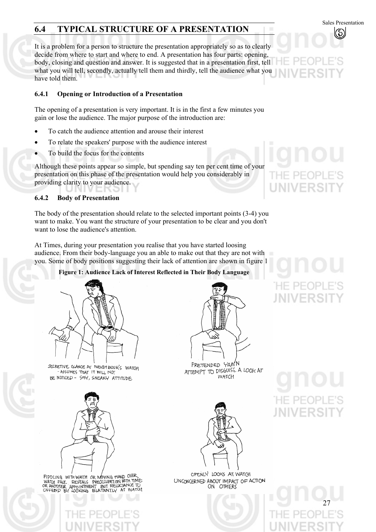# **6.4 TYPICAL STRUCTURE OF A PRESENTATION**

It is a problem for a person to structure the presentation appropriately so as to clearly decide from where to start and where to end. A presentation has four parts: opening, body, closing and question and answer. It is suggested that in a presentation first, tell what you will tell, secondly, actually tell them and thirdly, tell the audience what you have told them.

#### **6.4.1 Opening or Introduction of a Presentation**

The opening of a presentation is very important. It is in the first a few minutes you gain or lose the audience. The major purpose of the introduction are:

- To catch the audience attention and arouse their interest
- To relate the speakers' purpose with the audience interest
- To build the focus for the contents

Although these points appear so simple, but spending say ten per cent time of your presentation on this phase of the presentation would help you considerably in providing clarity to your audience. IN IVEI

#### **6.4.2 Body of Presentation**

The body of the presentation should relate to the selected important points (3-4) you want to make. You want the structure of your presentation to be clear and you don't want to lose the audience's attention.

At Times, during your presentation you realise that you have started loosing audience. From their body-language you an able to make out that they are not with you. Some of body positions suggesting their lack of attention are shown in figure 1

#### **Figure 1: Audience Lack of Interest Reflected in Their Body Language**



SECRETIVE GLANCE AT NEIGHBOUR'S WATCH - ASSUMES THAT IT WILL NOT BE NOTICED - SHY, SNEAKY ATTITUDE



FIDDLING WITH WATCH OR MOVING HAND OVER FIDDLING WITH WATCH OR MOVING HAND OVER<br>WATCH FACE REVIEALS PRECCUPATION WITH TIME<br>OR ANOTHER APPOINTMENT EUT RELUCTANCE TO<br>OFFEND BY LOOKING BIATANTLY AT WATCH OFFEND



PRETENDED YANN ATTEMPT TO DISGUISE A LOOK AT **WATCH** 



OPENLY LOOKS AT WATCH UNCONCERNED ABOUT IMPACT OF ACTION ON OTHERS







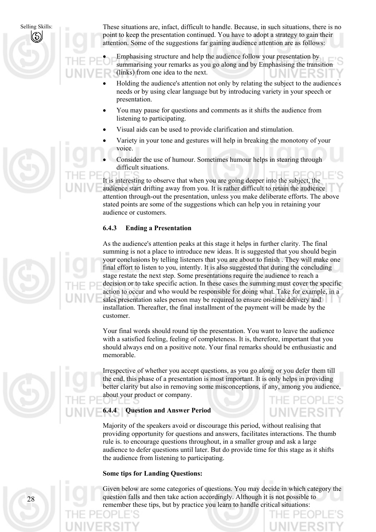Selling Skills:

These situations are, infact, difficult to handle. Because, in such situations, there is no point to keep the presentation continued. You have to adopt a strategy to gain their attention. Some of the suggestions far gaining audience attention are as follows:

• Emphasising structure and help the audience follow your presentation by summarising your remarks as you go along and by Emphasising the transition (links) from one idea to the next.

- Holding the audience's attention not only by relating the subject to the audience' s needs or by using clear language but by introducing variety in your speech or presentation.
- You may pause for questions and comments as it shifts the audience from listening to participating.
- Visual aids can be used to provide clarification and stimulation.
- Variety in your tone and gestures will help in breaking the monotony of your voice.
- Consider the use of humour. Sometimes humour helps in stearing through difficult situations.

It is interesting to observe that when you are going deeper into the subject, the audience start drifting away from you. It is rather difficult to retain the audience attention through-out the presentation, unless you make deliberate efforts. The above stated points are some of the suggestions which can help you in retaining your audience or customers.

#### **6.4.3 Ending a Presentation**

As the audience's attention peaks at this stage it helps in further clarity. The final summing is not a place to introduce new ideas. It is suggested that you should begin your conclusions by telling listeners that you are about to finish . They will make one final effort to listen to you, intently. It is also suggested that during the concluding stage restate the next step. Some presentations require the audience to reach a decision or to take specific action. In these cases the summing must cover the specific action to occur and who would be responsible for doing what. Take for example, in a sales presentation sales person may be required to ensure on-time delivery and installation. Thereafter, the final installment of the payment will be made by the customer.

Your final words should round tip the presentation. You want to leave the audience with a satisfied feeling, feeling of completeness. It is, therefore, important that you should always end on a positive note. Your final remarks should be enthusiastic and memorable.

Irrespective of whether you accept questions, as you go along or you defer them till the end, this phase of a presentation is most important. It is only helps in providing better clarity but also in removing some misconceptions, if any, among you audience, about your product or company.

#### **6.4.4 Question and Answer Period**

Majority of the speakers avoid or discourage this period, without realising that providing opportunity for questions and answers, facilitates interactions. The thumb rule is. to encourage questions throughout, in a smaller group and ask a large audience to defer questions until later. But do provide time for this stage as it shifts the audience from listening to participating.

#### **Some tips for Landing Questions:**

Given below are some categories of questions. You may decide in which category the question falls and then take action accordingly. Although it is not possible to remember these tips, but by practice you learn to handle critical situations:



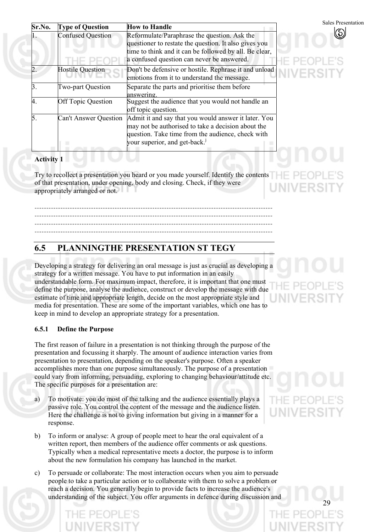| Sr.No. | <b>Type of Question</b>      | <b>How to Handle</b>                                                                                                                                                                                         | <b>Sales Presentation</b> |
|--------|------------------------------|--------------------------------------------------------------------------------------------------------------------------------------------------------------------------------------------------------------|---------------------------|
|        | <b>Confused Question</b>     | Reformulate/Paraphrase the question. Ask the                                                                                                                                                                 |                           |
|        |                              | questioner to restate the question. It also gives you                                                                                                                                                        |                           |
|        |                              | time to think and it can be followed by all. Be clear,                                                                                                                                                       |                           |
|        |                              | a confused question can never be answered.                                                                                                                                                                   | HE PEOPLE'S               |
|        | <b>Hostile Question</b>      | Don't be defensive or hostile. Rephrase it and unload<br>emotions from it to understand the message.                                                                                                         | NIVERSITY                 |
|        | <b>Two-part Question</b>     | Separate the parts and prioritise them before<br>answering.                                                                                                                                                  |                           |
| 4.     | <b>Off Topic Question</b>    | Suggest the audience that you would not handle an<br>off topic question.                                                                                                                                     |                           |
| 15     | <b>Can't Answer Question</b> | Admit it and say that you would answer it later. You<br>may not be authorised to take a decision about the<br>question. Take time from the audience, check with<br>your superior, and get-back. <sup>1</sup> |                           |
|        |                              |                                                                                                                                                                                                              |                           |

#### **Activity 1**

Try to recollect a presentation you heard or you made yourself. Identify the contents of that presentation, under opening, body and closing. Check, if they were appropriately arranged or not.

......................................................................................................................................... ......................................................................................................................................... .........................................................................................................................................

# .........................................................................................................................................

### **6.5 PLANNINGTHE PRESENTATION ST TEGY**

Developing a strategy for delivering an oral message is just as crucial as developing a strategy for a written message. You have to put information in an easily understandable form. For maximum impact, therefore, it is important that one must define the purpose, analyse the audience, construct or develop the message with due estimate of time and appropriate length, decide on the most appropriate style and media for presentation. These are some of the important variables, which one has to keep in mind to develop an appropriate strategy for a presentation.

#### **6.5.1 Define the Purpose**

The first reason of failure in a presentation is not thinking through the purpose of the presentation and focussing it sharply. The amount of audience interaction varies from presentation to presentation, depending on the speaker's purpose. Often a speaker accomplishes more than one purpose simultaneously. The purpose of a presentation could vary from informing, persuading, exploring to changing behaviour/attitude etc. The specific purposes for a presentation are:

- a) To motivate: you do most of the talking and the audience essentially plays a passive role. You control the content of the message and the audience listen. Here the challenge is not to giving information but giving in a manner for a response.
- b) To inform or analyse: A group of people meet to hear the oral equivalent of a written report, then members of the audience offer comments or ask questions. Typically when a medical representative meets a doctor, the purpose is to inform about the new formulation his company has launched in the market.
- c) To persuade or collaborate: The most interaction occurs when you aim to persuade people to take a particular action or to collaborate with them to solve a problem or reach a decision. You generally begin to provide facts to increase the audience's understanding of the subject. You offer arguments in defence during discussion and



# E PE(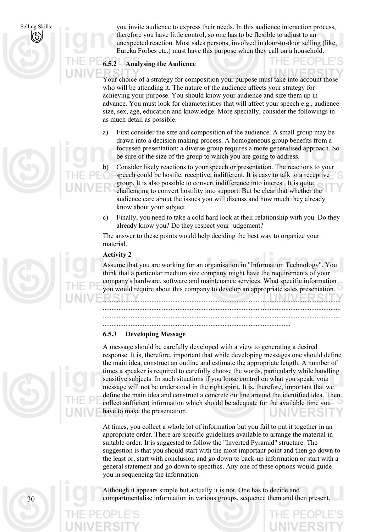Selling Skills:

you invite audience to express their needs. In this audience interaction process, therefore you have little control, so one has to be flexible to adjust to an unexpected reaction. Most sales persons, involved in door-to-door selling (like, Eureka Forbes etc.) must have this purpose when they call on a household.

#### **6.5.2 Analysing the Audience**

Your choice of a strategy for composition your purpose must take into account those who will be attending it. The nature of the audience affects your strategy for achieving your purpose. You should know your audience and size them up in advance. You must look for characteristics that will affect your speech e.g., audience size, sex, age, education and knowledge. More specially, consider the followings in as much detail as possible.

a) First consider the size and composition of the audience. A small group may be drawn into a decision making process. A homogeneous group benefits from a focussed presentation; a diverse group requires a more generalised approach. So be sure of the size of the group to which you are going to address.

b) Consider likely reactions to your speech or presentation. The reactions to your speech could be hostile, receptive, indifferent. It is easy to talk to a receptive group. It is also possible to convert indifference into interest. It is quite challenging to convert hostility into support. But be clear that whether the audience care about the issues you will discuss and how much they already know about your subject.

c) Finally, you need to take a cold hard look at their relationship with you. Do they already know you? Do they respect your judgement?

The answer to these points would help deciding the best way to organize your material.

#### **Activity 2**

Assume that you are working for an organisation in "Information Technology". You think that a particular medium size company might have the requirements of your company's hardware, software and maintenance services. What specific information you would require about this company to develop an appropriate sales presentation. ......................................................................................................................................... .........................................................................................................................................

.........................................................................................................................................

#### ............................................................................................................

#### **6.5.3 Developing Message**

A message should be carefully developed with a view to generating a desired response. It is, therefore, important that while developing messages one should define the main idea, construct an outline and estimate the appropriate length. A number of times a speaker is required to carefully choose the words, particularly while handling sensitive subjects. In such situations if you loose control on what you speak, your message will not be understood in the right spirit. It is, therefore, important that we define the main idea and construct a concrete outline around the identified idea. Then collect sufficient information which should be adequate for the available time you have to make the presentation.

At times, you collect a whole lot of information but you fail to put it together in an appropriate order. There are specific guidelines available to arrange the material in suitable order. It is suggested to follow the "Inverted Pyramid" structure. The suggestion is that you should start with the most important point and then go down to the least or, start with conclusion and go down to back-up information or start with a general statement and go down to specifics. Any one of these options would guide you in sequencing the information.

Although it appears simple but actually it is not. One has to decide and compartmentalise information in various groups, sequence them and then present.

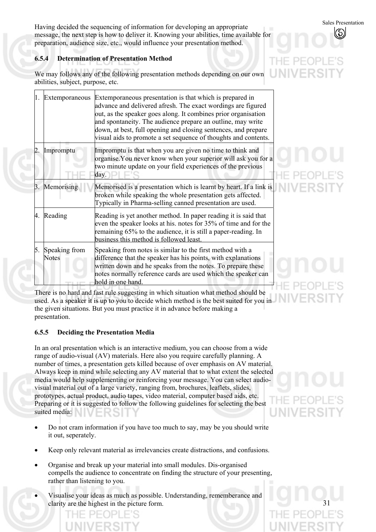Sales Presentation Sales Presentation Having decided the sequencing of information for developing an appropriate message, the next step is how to deliver it. Knowing your abilities, time available for preparation, audience size, etc., would influence your presentation method.

#### **6.5.4 Determination of Presentation Method**

We may follows any of the following presentation methods depending on our own abilities, subject, purpose, etc.

|                | Extemporaneous                | Extemporaneous presentation is that which is prepared in<br>advance and delivered afresh. The exact wordings are figured<br>out, as the speaker goes along. It combines prior organisation<br>and spontaneity. The audience prepare an outline, may write<br>down, at best, full opening and closing sentences, and prepare<br>visual aids to promote a set sequence of thoughts and contents. |  |
|----------------|-------------------------------|------------------------------------------------------------------------------------------------------------------------------------------------------------------------------------------------------------------------------------------------------------------------------------------------------------------------------------------------------------------------------------------------|--|
| 2.             | Impromptu                     | Impromptu is that when you are given no time to think and<br>organise. You never know when your superior will ask you for a<br>two minute update on your field experiences of the previous<br>dav.                                                                                                                                                                                             |  |
| 3 <sub>1</sub> | Memorising                    | Memorised is a presentation which is learnt by heart. If a link is<br>broken while speaking the whole presentation gets affected.<br>Typically in Pharma-selling canned presentation are used.                                                                                                                                                                                                 |  |
| 4.             | Reading                       | Reading is yet another method. In paper reading it is said that<br>even the speaker looks at his. notes for 35% of time and for the<br>remaining 65% to the audience, it is still a paper-reading. In<br>business this method is followed least                                                                                                                                                |  |
| 5.             | Speaking from<br><b>Notes</b> | Speaking from notes is similar to the first method with a<br>difference that the speaker has his points, with explanations<br>written down and he speaks from the notes. To prepare these<br>notes normally reference cards are used which the speaker can<br>hold in one hand                                                                                                                 |  |

There is no hard and fast rule suggesting in which situation what method should be used. As a speaker it is up to you to decide which method is the best suited for you in the given situations. But you must practice it in advance before making a presentation.

#### **6.5.5 Deciding the Presentation Media**

In an oral presentation which is an interactive medium, you can choose from a wide range of audio-visual (AV) materials. Here also you require carefully planning. A number of times, a presentation gets killed because of over emphasis on AV material. Always keep in mind while selecting any AV material that to what extent the selected media would help supplementing or reinforcing your message. You can select audiovisual material out of a large variety, ranging from, brochures, leaflets, slides, prototypes, actual product, audio tapes, video material, computer based aids, etc. Preparing or it is suggested to follow the following guidelines for selecting the best suited media:

- Do not cram information if you have too much to say, may be you should write it out, seperately. •
- Keep only relevant material as irrelevancies create distractions, and confusions.
- Organise and break up your material into small modules. Dis-organised compells the audience to concentrate on finding the structure of your presenting, rather than listening to you.
- Visualise your ideas as much as possible. Understanding, rememberance and clarity are the highest in the picture form.



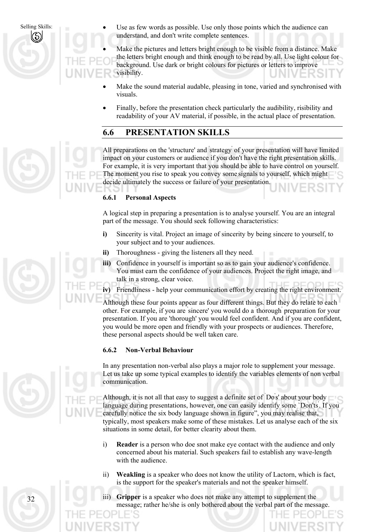

- Use as few words as possible. Use only those points which the audience can understand, and don't write complete sentences.
- Make the pictures and letters bright enough to be visible from a distance. Make the letters bright enough and think enough to be read by all. Use light colour for background. Use dark or bright colours for pictures or letters to improve visibility.
- Make the sound material audable, pleasing in tone, varied and synchronised with visuals.
- Finally, before the presentation check particularly the audibility, risibility and readability of your AV material, if possible, in the actual place of presentation.

# **6.6 PRESENTATION SKILLS**

All preparations on the 'structure' and ' strategy' of your presentation will have limited impact on your customers or audience if you don't have the right presentation skills. For example, it is very important that you should be able to have control on yourself. The moment you rise to speak you convey some signals to yourself, which might decide ultimately the success or failure of your presentation.

#### **6.6.1 Personal Aspects**

A logical step in preparing a presentation is to analyse yourself. You are an integral part of the message. You should seek following characteristics:

- **i)** Sincerity is vital. Project an image of sincerity by being sincere to yourself, to your subject and to your audiences.
- **ii)** Thoroughness - giving the listeners all they need.
- **iii)** Confidence in yourself is important so as to gain your audience's confidence. You must earn the confidence of your audiences. Project the right image, and talk in a strong, clear voice.
- **iv)** Friendliness help your communication effort by creating the right environment.

Although these four points appear as four different things. But they do relate to each other. For example, if you are ' sincere' you would do a ' thorough' preparation for your presentation. If you are 'thorough' you would feel confident. And if you are confident, you would be more open and friendly with your prospects or audiences. Therefore, these personal aspects should be well taken care.

#### **6.6.2 Non-Verbal Behaviour**

In any presentation non-verbal also plays a major role to supplement your message. Let us take up some typical examples to identify the variables elements of non verbal communication.

Although, it is not all that easy to suggest a definite set of ` Do' s' about your body language during presentations, however, one can easily identify some 'Don'ts. If you carefully notice the six body language shown in figure", you may realise that, typically, most speakers make some of these mistakes. Let us analyse each of the six situations in some detail, for better clearity about them.

- i) **Reader** is a person who doe snot make eye contact with the audience and only concerned about his material. Such speakers fail to establish any wave-length with the audience.
- ii) **Weakling** is a speaker who does not know the utility of Lactorn, which is fact, is the support for the speaker's materials and not the speaker himself.
- iii) **Gripper** is a speaker who does not make any attempt to supplement the message; rather he/she is only bothered about the verbal part of the message.

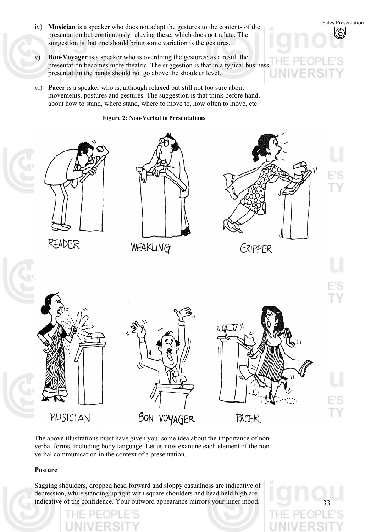- **Sales Presentation** Sales Presentation Sales Presentation Sales Presentation presentation but continuously relaying these, which does not relate. The suggestion is that one should-bring some variation is the gestures.
- v) **Bon-Voyager** is a speaker who is overdoing the gestures; as a result the presentation becomes more theatric. The suggestion is that in a typical business presentation the hands should not go above the shoulder level.
- vi) **Pacer** is a speaker who is, although relaxed but still not too sure about movements, postures and gestures. The suggestion is that think before hand, about how to stand, where stand, where to move to, how often to move, etc.

**Figure 2: Non-Verbal in Presentations** 



The above illustrations must have given you. some idea about the importance of nonverbal forms, including body language. Let us now exanune each element of the nonverbal communication in the context of a presentation.

#### **Posture**

Sagging shoulders, dropped head forward and sloppy casualness are indicative of depression, while standing upright with square shoulders and head held high are indicative of the confidence. Your outword appearance mirrors your inner mood.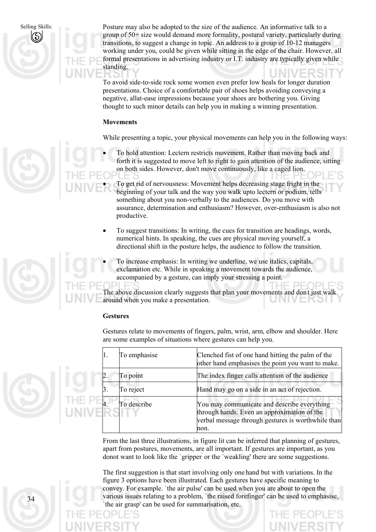

Posture may also be adopted to the size of the audience. An informative talk to a group of 50+ size would demand more formality, postural variety, particularly during transitions, to suggest a change in topic. An address to a group of 10-12 managers working under you, could be given while sitting in the edge of the chair. However, all formal presentations in advertising industry or I.T. industry are typically given while standing.

To avoid side-to-side rock some women even prefer low heals for longer duration presentations. Choice of a comfortable pair of shoes helps avoiding conveying a negative, allat-ease impressions because your shoes are bothering you. Giving thought to such minor details can help you in making a winning presentation.

#### **Movements**

•

•

While presenting a topic, your physical movements can help you in the following ways:

- To hold attention: Lectern restricts movement. Rather than moving back and forth it is suggested to move left to right to gain attention of the audience, sitting on both sides. However, don't move continuously, like a caged lion.
- To get rid of nervousness: Movement helps decreasing stage fright in the beginning of your talk and the way you walk upto lectern or podium, tells something about you non-verbally to the audiences. Do you move with assurance, determination and enthusiasm? However, over-enthusiasm is also not productive.
- To suggest transitions: In writing, the cues for transition are headings, words, numerical hints. In speaking, the cues are physical moving yourself, a directional shift in the posture helps, the audience to follow the transition.
- To increase emphasis: In writing we underline, we use italics, capitals, exclamation etc. While in speaking a movement towards the audience, accompanied by a gesture, can imply your stressing a point.

The above discussion clearly suggests that plan your movements and don't just walk around when you make a presentation.

#### **Gestures**

Gestures relate to movements of fingers, palm, wrist, arm, elbow and shoulder. Here are some examples of situations where gestures can help you.

| To emphasise | Clenched fist of one hand hitting the palm of the<br>other hand emphasises the point you want to make.                                                   |
|--------------|----------------------------------------------------------------------------------------------------------------------------------------------------------|
| To point     | The index finger calls attention of the audience                                                                                                         |
| To reject    | Hand may go on a side in an act of rejection.                                                                                                            |
| To describe  | You may communicate and describe everything<br>through hands. Even an approximation of the<br>verbal message through gestures is worthwhile than<br>non. |

From the last three illustrations, in figure lit can be inferred that planning of gestures, apart from postures, movements, are all important. If gestures are important, as you donot want to look like the `gripper' or the `weakling' there are some suggestions.

The first suggestion is that start involving only one hand but with variations. In the figure 3 options have been illustrated. Each gestures have specific meaning to convey. For example. `the air pulse' can be used when you are about to open the various issues relating to a problem, `the raised forefinger' can be used to emphasise, the air grasp' can be used for summarisation, etc.

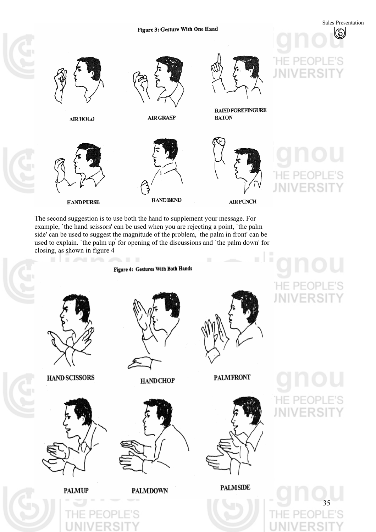#### Figure 3: Gesture With One Hand

Sales Presentation  $\circledS$ 



The second suggestion is to use both the hand to supplement your message. For example, `the hand scissors' can be used when you are rejecting a point, `the palm side' can be used to suggest the magnitude of the problem, ` the palm in front' can be used to explain. `the palm up' for opening of the discussions and `the palm down' for closing, as shown in figure 4 **LEADART** 

Figure 4: Gestures With Both Hands

**HAND SCISSORS** 



**PALMUP** 

**HAND CHOP** 



**PALMDOWN** 



**PALMFRONT** 



**PALMSIDE** 



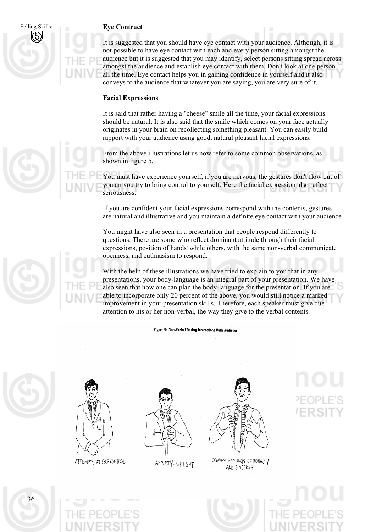#### **Eye Contract**

It is suggested that you should have eye contact with your audience. Although, it is not possible to have eye contact with each and every person sitting amongst the audience but it is suggested that you may identify, select persons sitting spread across amongst the audience and establish eye contact with them. Don't look at one person all the time. Eye contact helps you in gaining confidence in yourself and it also conveys to the audience that whatever you are saying, you are very sure of it.

#### **Facial Expressions**

It is said that rather having a "cheese" smile all the time, your facial expressions should be natural. It is also said that the smile which comes on your face actually originates in your brain on recollecting something pleasant. You can easily build rapport with your audience using good, natural pleasant facial expressions.

From the above illustrations let us now refer to some common observations, as shown in figure 5.

You must have experience yourself, if you are nervous, the gestures don't flow out of you an you try to bring control to yourself. Here the facial expression also reflect seriousness.

If you are confident your facial expressions correspond with the contents, gestures are natural and illustrative and you maintain a definite eye contact with your audience

You might have also seen in a presentation that people respond differently to questions. There are some who reflect dominant attitude through their facial expressions, position of hands' while others, with the same non-verbal communicate openness, and euthuasism to respond.

With the help of these illustrations we have tried to explain to you that in any presentations, your body-language is an integral part of your presentation. We have also seen that how one can plan the body-language for the presentation. If you are able to incorporate only 20 percent of the above, you would still notice a marked improvement in your presentation skills. Therefore, each speaker must give due attention to his or her non-verbal, the way they give to the verbal contents.

Figure 5: Non-Verbal During Interactions With Audience



Selling Skills:

KS.



ATTEMPTS AT SELF CONTROL



ANXIETY-UPTIGHT



CONVEY FEELINGS OF HONESTY AND SINCERITY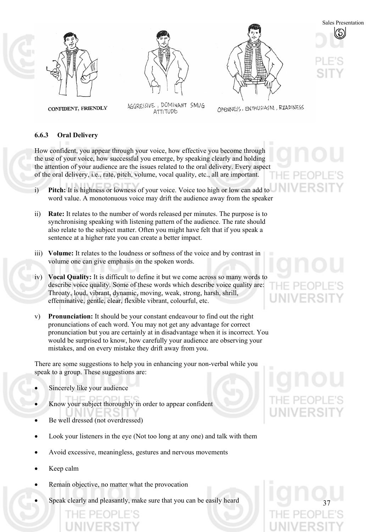







CONFIDENT, FRIENDLY

#### AGGRESSIVE, DOMINANT SMUG **ATTITUDE**

OPENNESS, ENTHUSIASM, READINESS

#### **6.6.3 Oral Delivery**

How confident, you appear through your voice, how effective you become through the use of your voice, how successful you emerge, by speaking clearly and holding the attention of your audience are the issues related to the oral delivery. Every aspect of the oral delivery, i.e., rate, pitch, volume, vocal quality, etc., all are important.

- **Pitch:** It is highness or lowness of your voice. Voice too high or low can add to word value. A monotonuous voice may drift the audience away from the speaker i)
- ii) **Rate:** It relates to the number of words released per minutes. The purpose is to synchronising speaking with listening pattern of the audience. The rate should also relate to the subject matter. Often you might have felt that if you speak a sentence at a higher rate you can create a better impact.
- iii) **Volume:** It relates to the loudness or softness of the voice and by contrast in volume one can give emphasis on the spoken words.
- iv) **Vocal Quality:** It is difficult to define it but we come across so many words to describe voice quality. Some of these words which describe voice quality are: Throaty, loud, vibrant, dynamic, moving, weak, strong, harsh, shrill, effeminative, gentle, clear, flexible vibrant, colourful, etc.
- v) **Pronunciation:** It should be your constant endeavour to find out the right pronunciations of each word. You may not get any advantage for correct pronunciation but you are certainly at in disadvantage when it is incorrect. You would be surprised to know, how carefully your audience are observing your mistakes, and on every mistake they drift away from you.

There are some suggestions to help you in enhancing your non-verbal while you speak to a group. These suggestions are:

- Sincerely like your audience
- Know your subject thoroughly in order to appear confident
- Be well dressed (not overdressed)
- Look your listeners in the eye (Not too long at any one) and talk with them
- Avoid excessive, meaningless, gestures and nervous movements
- Keep calm
- Remain objective, no matter what the provocation
- Speak clearly and pleasantly, make sure that you can be easily heard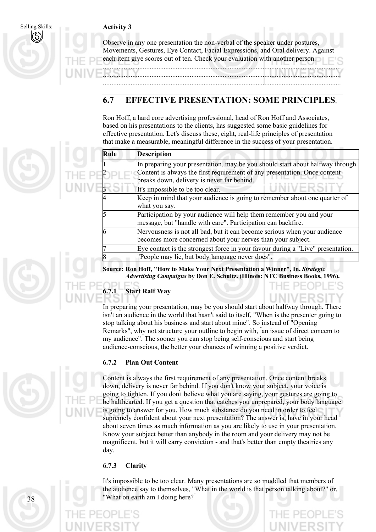#### **Activity 3**

Selling Skills:

Observe in any one presentation the non-verbal of the speaker under postures, Movements, Gestures, Eye Contact, Facial Expressions, and Oral delivery. Against each item give scores out of ten. Check your evaluation with another person. ......................................................................................................................................... ......................................................................................................................................... .........................................................................................................................................

### **6.7 EFFECTIVE PRESENTATION: SOME PRINCIPLES-**

Ron Hoff, a hard core advertising professional, head of Ron Hoff and Associates, based on his presentations to the clients, has suggested some basic guidelines for effective presentation. Let's discuss these, eight, real-life principles of presentation that make a measurable, meaningful difference in the success of your presentation.

| Rule | <b>Description</b>                                                                                                                      |  |  |
|------|-----------------------------------------------------------------------------------------------------------------------------------------|--|--|
|      | In preparing your presentation, may be you should start about halfway through.                                                          |  |  |
|      | Content is always the first requirement of any presentation. Once content<br>breaks down, delivery is never far behind.                 |  |  |
|      | It's impossible to be too clear.                                                                                                        |  |  |
|      | Keep in mind that your audience is going to remember about one quarter of<br>what you say.                                              |  |  |
|      | Participation by your audience will help them remember you and your<br>message, but "handle with care". Participation can backfire.     |  |  |
|      | Nervousness is not all bad, but it can become serious when your audience<br>becomes more concerned about your nerves than your subject. |  |  |
|      | Eye contact is the strongest force in your favour during a "Live" presentation.                                                         |  |  |
|      | "People may lie, but body language never does".                                                                                         |  |  |

**Source: Ron Hoff, "How to Make Your Next Presentation a Winner", In,** *Strategic Advertising Campaigns* **by Don E. Schultz. (Illinois: NTC Business Books, 1996).** 

# **6.7.1 Start Ralf Way**

In preparing your presentation, may be you should start about halfway through. There isn't an audience in the world that hasn't said to itself, "When is the presenter going to stop talking about his business and start about mine". So instead of "Opening Remarks", why not structure your outline to begin with, " an issue of direct concem to my audience". The sooner you can stop being self-conscious and start being audience-conscious, the better your chances of winning a positive verdict.

#### **6.7.2 Plan Out Content**

Content is always the first requirement of any presentation. Once content breaks down, delivery is never far behind. If you don't know your subject, your voice is going to tighten. If you don' t believe what you are saying, your gestures are going to be halfhearted. If you get a question that catches you unprepared, your body language is going to answer for you. How much substance do you need in order to feel supremely confident about your next presentation? The answer is, have in your head about seven times as much information as you are likely to use in your presentation. Know your subject better than anybody in the room and your delivery may not be magnificent, but it will carry conviction - and that's better than empty theatrics any day.

#### **6.7.3 Clarity**

It's impossible to be too clear. Many presentations are so muddled that members of the audience say to themselves, "What in the world is that person talking about?" or, What on earth am I doing here?"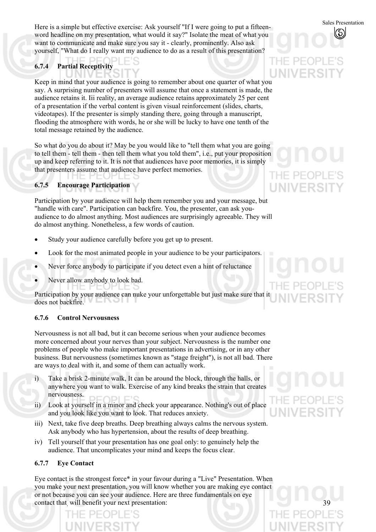Here is a simple but effective exercise: Ask yourself "If I were going to put a fifteenword headline on my presentation, what would it say?" Isolate the meat of what you want to communicate and make sure you say it - clearly, prominently. Also ask yourself, "What do I really want my audience to do as a result of this presentation?

#### **6.7.4 Partial Receptivity**

Keep in mind that your audience is going to remember about one quarter of what you say. A surprising number of presenters will assume that once a statement is made, the audience retains it. Iii reality, an average audience retains approximately 25 per cent of a presentation if the verbal content is given visual reinforcement (slides, charts, videotapes). If the presenter is simply standing there, going through a manuscript, flooding the atmosphere with words, he or she will be lucky to have one tenth of the total message retained by the audience.

So what do you do about it? May be you would like to "tell them what you are going to tell them - tell them - then tell them what you told them", i.e., put your proposition up and keep referring to it. It is not that audiences have poor memories, it is simply that presenters assume that audience have perfect memories.

#### **6.7.5 Encourage Participation**

Participation by your audience will help them remember you and your message, but "handle with care". Participation can backfire. You, the presenter, can ask youaudience to do almost anything. Most audiences are surprisingly agreeable. They will do almost anything. Nonetheless, a few words of caution.

- Study your audience carefully before you get up to present.
- Look for the most animated people in your audience to be your participators.
- Never force anybody to participate if you detect even a hint of reluctance
- Never allow anybody to look bad.

Participation by your audience can nuke your unforgettable but just make sure that it does not backfire.

#### **6.7.6 Control Nervousness**

Nervousness is not all bad, but it can become serious when your audience becomes more concerned about your nerves than your subject. Nervousness is the number one problems of people who make important presentations in advertising, or in any other business. But nervousness (sometimes known as "stage freight"), is not all bad. There are ways to deal with it, and some of them can actually work.

- i) Take a brisk 2-minute walk, It can be around the block, through the halls, or anywhere you want to walk. Exercise of any kind breaks the strain that creates nervousness.
- ii) Look at yourself in a minor and check your appearance. Nothing's out of place and you look like you want to look. That reduces anxiety.
- iii) Next, take five deep breaths. Deep breathing always calms the nervous system. Ask anybody who has hypertension, about the results of deep breathing.
- iv) Tell yourself that your presentation has one goal only: to genuinely help the audience. That uncomplicates your mind and keeps the focus clear.

#### **6.7.7 Eye Contact**

Eye contact is the strongest force\* in your favour during a "Live" Presentation. When you make your next presentation, you will know whether you are making eye contact or not because you can see your audience. Here are three fundamentals on eye contact that, will benefit your next presentation:

# .S)

Sales Presentation

# $H = P F$ **UNIVERSI**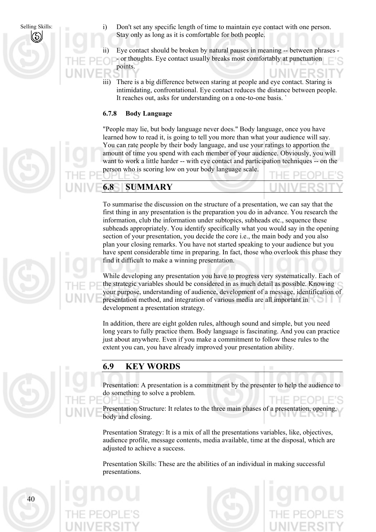

- Don't set any specific length of time to maintain eye contact with one person. Stay only as long as it is comfortable for both people.
- ii) Eye contact should be broken by natural pauses in meaning -- between phrases - or thoughts. Eye contact usually breaks most comfortably at punctuation points.
- iii) There is a big difference between staring at people and eye contact. Staring is intimidating, confrontational. Eye contact reduces the distance between people. It reaches out, asks for understanding on a one-to-one basis. `

#### **6.7.8 Body Language**

"People may lie, but body language never does." Body language, once you have learned how to read it, is going to tell you more than what your audience will say. You can rate people by their body language, and use your ratings to apportion the amount of time you spend with each member of your audience. Obviously, you will want to work a little harder -- with eye contact and participation techniques -- on the person who is scoring low on your body language scale.

# **6.8 SUMMARY**

To summarise the discussion on the structure of a presentation, we can say that the first thing in any presentation is the preparation you do in advance. You research the information, club the information under subtopics, subheads etc., sequence these subheads appropriately. You identify specifically what you would say in the opening section of your presentation, you decide the core i.e., the main body and you also plan your closing remarks. You have not started speaking to your audience but you have spent considerable time in preparing. In fact, those who overlook this phase they find it difficult to make a winning presentation.

While developing any presentation you have to progress very systematically. Each of the strategic variables should be considered in as much detail as possible. Knowing your purpose, understanding of audience, development of a message, identification of presentation method, and integration of various media are all important in development a presentation strategy.

In addition, there are eight golden rules, although sound and simple, but you need long years to fully practice them. Body language is fascinating. And you can practice just about anywhere. Even if you make a commitment to follow these rules to the extent you can, you have already improved your presentation ability.



# **6.9 KEY WORDS**

Presentation: A presentation is a commitment by the presenter to help the audience to do something to solve a problem.

Presentation Structure: It relates to the three main phases of a presentation, opening body and closing.

Presentation Strategy: It is a mix of all the presentations variables, like, objectives, audience profile, message contents, media available, time at the disposal, which are adjusted to achieve a success.

Presentation Skills: These are the abilities of an individual in making successful presentations.